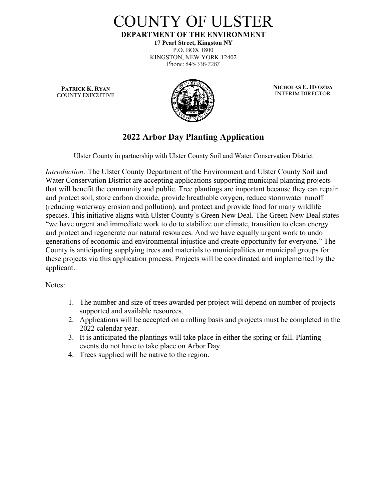

**DEPARTMENT OF THE ENVIRONMENT**

**17 Pearl Street, Kingston NY** P.O. BOX 1800 KINGSTON, NEW YORK 12402 Phone: 845-338-7287

**PATRICK K. RYAN COUNTY EXECUTIVE**



**NICHOLAS E. HVOZDA INTERIM DIRECTOR**

## **2022 Arbor Day Planting Application**

Ulster County in partnership with Ulster County Soil and Water Conservation District

*Introduction:* The Ulster County Department of the Environment and Ulster County Soil and Water Conservation District are accepting applications supporting municipal planting projects that will benefit the community and public. Tree plantings are important because they can repair and protect soil, store carbon dioxide, provide breathable oxygen, reduce stormwater runoff (reducing waterway erosion and pollution), and protect and provide food for many wildlife species. This initiative aligns with Ulster County's Green New Deal. The Green New Deal states "we have urgent and immediate work to do to stabilize our climate, transition to clean energy and protect and regenerate our natural resources. And we have equally urgent work to undo generations of economic and environmental injustice and create opportunity for everyone." The County is anticipating supplying trees and materials to municipalities or municipal groups for these projects via this application process. Projects will be coordinated and implemented by the applicant.

#### Notes:

- 1. The number and size of trees awarded per project will depend on number of projects supported and available resources.
- 2. Applications will be accepted on a rolling basis and projects must be completed in the 2022 calendar year.
- 3. It is anticipated the plantings will take place in either the spring or fall. Planting events do not have to take place on Arbor Day.
- 4. Trees supplied will be native to the region.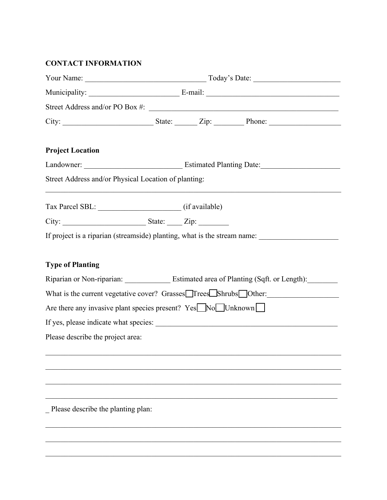### **CONTACT INFORMATION**

|                                                                                                           |  |  | Street Address and/or PO Box #:                                                           |  |  |  |  |
|-----------------------------------------------------------------------------------------------------------|--|--|-------------------------------------------------------------------------------------------|--|--|--|--|
|                                                                                                           |  |  |                                                                                           |  |  |  |  |
| <b>Project Location</b>                                                                                   |  |  |                                                                                           |  |  |  |  |
|                                                                                                           |  |  |                                                                                           |  |  |  |  |
| Street Address and/or Physical Location of planting:                                                      |  |  |                                                                                           |  |  |  |  |
|                                                                                                           |  |  |                                                                                           |  |  |  |  |
| City: $\frac{1}{\sqrt{2\pi}}$ State: $\frac{1}{\sqrt{2\pi}}$ Zip:                                         |  |  |                                                                                           |  |  |  |  |
|                                                                                                           |  |  | If project is a riparian (streamside) planting, what is the stream name:                  |  |  |  |  |
|                                                                                                           |  |  |                                                                                           |  |  |  |  |
| <b>Type of Planting</b>                                                                                   |  |  |                                                                                           |  |  |  |  |
| Riparian or Non-riparian: Estimated area of Planting (Sqft. or Length): Channel Riparian or Non-riparian: |  |  |                                                                                           |  |  |  |  |
|                                                                                                           |  |  | What is the current vegetative cover? Grasses <sup>T</sup> Trees <sup>Shrubs</sup> Other: |  |  |  |  |
| Are there any invasive plant species present? $Yes \longrightarrow No \longrightarrow Unknown$            |  |  |                                                                                           |  |  |  |  |
|                                                                                                           |  |  |                                                                                           |  |  |  |  |
| Please describe the project area:                                                                         |  |  |                                                                                           |  |  |  |  |
|                                                                                                           |  |  |                                                                                           |  |  |  |  |
|                                                                                                           |  |  |                                                                                           |  |  |  |  |
|                                                                                                           |  |  |                                                                                           |  |  |  |  |
|                                                                                                           |  |  |                                                                                           |  |  |  |  |
| Please describe the planting plan:                                                                        |  |  |                                                                                           |  |  |  |  |
|                                                                                                           |  |  |                                                                                           |  |  |  |  |

\_\_\_\_\_\_\_\_\_\_\_\_\_\_\_\_\_\_\_\_\_\_\_\_\_\_\_\_\_\_\_\_\_\_\_\_\_\_\_\_\_\_\_\_\_\_\_\_\_\_\_\_\_\_\_\_\_\_\_\_\_\_\_\_\_\_\_\_\_\_\_\_\_\_\_\_\_\_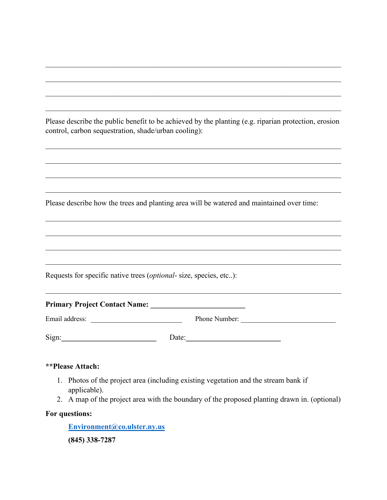Please describe the public benefit to be achieved by the planting (e.g. riparian protection, erosion control, carbon sequestration, shade/urban cooling):

\_\_\_\_\_\_\_\_\_\_\_\_\_\_\_\_\_\_\_\_\_\_\_\_\_\_\_\_\_\_\_\_\_\_\_\_\_\_\_\_\_\_\_\_\_\_\_\_\_\_\_\_\_\_\_\_\_\_\_\_\_\_\_\_\_\_\_\_\_\_\_\_\_\_\_\_\_\_

\_\_\_\_\_\_\_\_\_\_\_\_\_\_\_\_\_\_\_\_\_\_\_\_\_\_\_\_\_\_\_\_\_\_\_\_\_\_\_\_\_\_\_\_\_\_\_\_\_\_\_\_\_\_\_\_\_\_\_\_\_\_\_\_\_\_\_\_\_\_\_\_\_\_\_\_\_\_

\_\_\_\_\_\_\_\_\_\_\_\_\_\_\_\_\_\_\_\_\_\_\_\_\_\_\_\_\_\_\_\_\_\_\_\_\_\_\_\_\_\_\_\_\_\_\_\_\_\_\_\_\_\_\_\_\_\_\_\_\_\_\_\_\_\_\_\_\_\_\_\_\_\_\_\_\_\_

\_\_\_\_\_\_\_\_\_\_\_\_\_\_\_\_\_\_\_\_\_\_\_\_\_\_\_\_\_\_\_\_\_\_\_\_\_\_\_\_\_\_\_\_\_\_\_\_\_\_\_\_\_\_\_\_\_\_\_\_\_\_\_\_\_\_\_\_\_\_\_\_\_\_\_\_\_\_

\_\_\_\_\_\_\_\_\_\_\_\_\_\_\_\_\_\_\_\_\_\_\_\_\_\_\_\_\_\_\_\_\_\_\_\_\_\_\_\_\_\_\_\_\_\_\_\_\_\_\_\_\_\_\_\_\_\_\_\_\_\_\_\_\_\_\_\_\_\_\_\_\_\_\_\_\_\_

\_\_\_\_\_\_\_\_\_\_\_\_\_\_\_\_\_\_\_\_\_\_\_\_\_\_\_\_\_\_\_\_\_\_\_\_\_\_\_\_\_\_\_\_\_\_\_\_\_\_\_\_\_\_\_\_\_\_\_\_\_\_\_\_\_\_\_\_\_\_\_\_\_\_\_\_\_\_

\_\_\_\_\_\_\_\_\_\_\_\_\_\_\_\_\_\_\_\_\_\_\_\_\_\_\_\_\_\_\_\_\_\_\_\_\_\_\_\_\_\_\_\_\_\_\_\_\_\_\_\_\_\_\_\_\_\_\_\_\_\_\_\_\_\_\_\_\_\_\_\_\_\_\_\_\_\_

\_\_\_\_\_\_\_\_\_\_\_\_\_\_\_\_\_\_\_\_\_\_\_\_\_\_\_\_\_\_\_\_\_\_\_\_\_\_\_\_\_\_\_\_\_\_\_\_\_\_\_\_\_\_\_\_\_\_\_\_\_\_\_\_\_\_\_\_\_\_\_\_\_\_\_\_\_\_

\_\_\_\_\_\_\_\_\_\_\_\_\_\_\_\_\_\_\_\_\_\_\_\_\_\_\_\_\_\_\_\_\_\_\_\_\_\_\_\_\_\_\_\_\_\_\_\_\_\_\_\_\_\_\_\_\_\_\_\_\_\_\_\_\_\_\_\_\_\_\_\_\_\_\_\_\_\_

\_\_\_\_\_\_\_\_\_\_\_\_\_\_\_\_\_\_\_\_\_\_\_\_\_\_\_\_\_\_\_\_\_\_\_\_\_\_\_\_\_\_\_\_\_\_\_\_\_\_\_\_\_\_\_\_\_\_\_\_\_\_\_\_\_\_\_\_\_\_\_\_\_\_\_\_\_\_

Please describe how the trees and planting area will be watered and maintained over time:

Requests for specific native trees (*optional*- size, species, etc..):

| <b>Primary Project Contact Name:</b> |       |               |  |
|--------------------------------------|-------|---------------|--|
| Email address:                       |       | Phone Number: |  |
| Sign:                                | Date: |               |  |

#### **\*\*Please Attach:**

- 1. Photos of the project area (including existing vegetation and the stream bank if applicable).
- 2. A map of the project area with the boundary of the proposed planting drawn in. (optional)

#### **For questions:**

**[Environment@co.ulster.ny.us](mailto:environment@co.ulster.ny.us) (845) 338-7287**